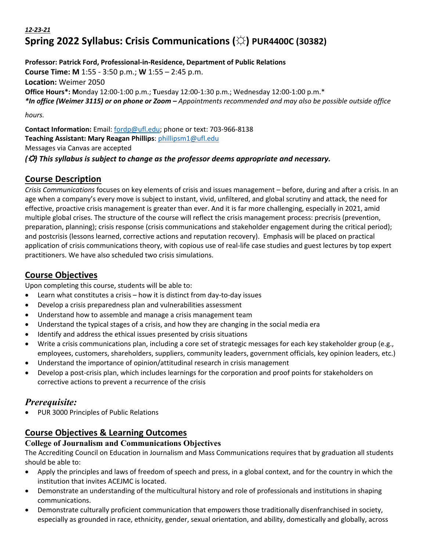# *12-23-21* **Spring 2022 Syllabus: Crisis Communications (☼) PUR4400C (30382)**

**Professor: Patrick Ford, Professional-in-Residence, Department of Public Relations Course Time: M** 1:55 - 3:50 p.m.; **W** 1:55 – 2:45 p.m. **Location:** Weimer 2050 **Office Hours\*: M**onday 12:00-1:00 p.m.; **T**uesday 12:00-1:30 p.m.; Wednesday 12:00-1:00 p.m.\* *\*In office (Weimer 3115) or on phone or Zoom – Appointments recommended and may also be possible outside office hours.*

**Contact Information:** Email: fordp@ufl.edu; phone or text: 703-966-8138 **Teaching Assistant: Mary Reagan Phillips**: phillipsm1@ufl.edu Messages via Canvas are accepted *(*☼*) This syllabus is subject to change as the professor deems appropriate and necessary.*

# **Course Description**

*Crisis Communications* focuses on key elements of crisis and issues management – before, during and after a crisis. In an age when a company's every move is subject to instant, vivid, unfiltered, and global scrutiny and attack, the need for effective, proactive crisis management is greater than ever. And it is far more challenging, especially in 2021, amid multiple global crises. The structure of the course will reflect the crisis management process: precrisis (prevention, preparation, planning); crisis response (crisis communications and stakeholder engagement during the critical period); and postcrisis (lessons learned, corrective actions and reputation recovery). Emphasis will be placed on practical application of crisis communications theory, with copious use of real-life case studies and guest lectures by top expert practitioners. We have also scheduled two crisis simulations.

# **Course Objectives**

Upon completing this course, students will be able to:

- Learn what constitutes a crisis how it is distinct from day-to-day issues
- Develop a crisis preparedness plan and vulnerabilities assessment
- Understand how to assemble and manage a crisis management team
- Understand the typical stages of a crisis, and how they are changing in the social media era
- Identify and address the ethical issues presented by crisis situations
- Write a crisis communications plan, including a core set of strategic messages for each key stakeholder group (e.g., employees, customers, shareholders, suppliers, community leaders, government officials, key opinion leaders, etc.)
- Understand the importance of opinion/attitudinal research in crisis management
- Develop a post-crisis plan, which includes learnings for the corporation and proof points for stakeholders on corrective actions to prevent a recurrence of the crisis

# *Prerequisite:*

• PUR 3000 Principles of Public Relations

# **Course Objectives & Learning Outcomes**

### **College of Journalism and Communications Objectives**

The Accrediting Council on Education in Journalism and Mass Communications requires that by graduation all students should be able to:

- Apply the principles and laws of freedom of speech and press, in a global context, and for the country in which the institution that invites ACEJMC is located.
- Demonstrate an understanding of the multicultural history and role of professionals and institutions in shaping communications.
- Demonstrate culturally proficient communication that empowers those traditionally disenfranchised in society, especially as grounded in race, ethnicity, gender, sexual orientation, and ability, domestically and globally, across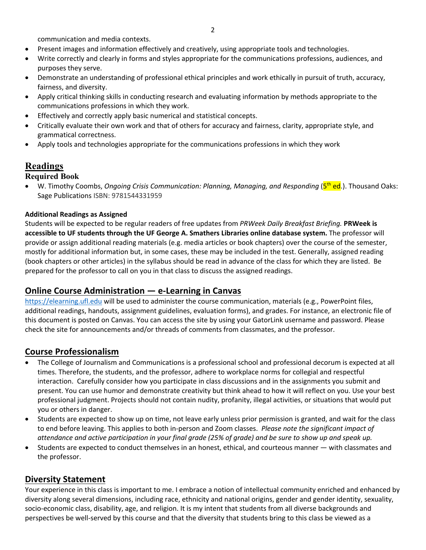communication and media contexts.

- Present images and information effectively and creatively, using appropriate tools and technologies.
- Write correctly and clearly in forms and styles appropriate for the communications professions, audiences, and purposes they serve.
- Demonstrate an understanding of professional ethical principles and work ethically in pursuit of truth, accuracy, fairness, and diversity.
- Apply critical thinking skills in conducting research and evaluating information by methods appropriate to the communications professions in which they work.
- Effectively and correctly apply basic numerical and statistical concepts.
- Critically evaluate their own work and that of others for accuracy and fairness, clarity, appropriate style, and grammatical correctness.
- Apply tools and technologies appropriate for the communications professions in which they work

# **Readings**

### **Required Book**

• W. Timothy Coombs, *Ongoing Crisis Communication: Planning, Managing, and Responding* (5<sup>th</sup> ed.). Thousand Oaks: Sage Publications ISBN: 9781544331959

### **Additional Readings as Assigned**

Students will be expected to be regular readers of free updates from *PRWeek Daily Breakfast Briefing.* **PRWeek is accessible to UF students through the UF George A. Smathers Libraries online database system.** The professor will provide or assign additional reading materials (e.g. media articles or book chapters) over the course of the semester, mostly for additional information but, in some cases, these may be included in the test. Generally, assigned reading (book chapters or other articles) in the syllabus should be read in advance of the class for which they are listed. Be prepared for the professor to call on you in that class to discuss the assigned readings.

### **Online Course Administration — e-Learning in Canvas**

https://elearning.ufl.edu will be used to administer the course communication, materials (e.g., PowerPoint files, additional readings, handouts, assignment guidelines, evaluation forms), and grades. For instance, an electronic file of this document is posted on Canvas. You can access the site by using your GatorLink username and password. Please check the site for announcements and/or threads of comments from classmates, and the professor.

# **Course Professionalism**

- The College of Journalism and Communications is a professional school and professional decorum is expected at all times. Therefore, the students, and the professor, adhere to workplace norms for collegial and respectful interaction. Carefully consider how you participate in class discussions and in the assignments you submit and present. You can use humor and demonstrate creativity but think ahead to how it will reflect on you. Use your best professional judgment. Projects should not contain nudity, profanity, illegal activities, or situations that would put you or others in danger.
- Students are expected to show up on time, not leave early unless prior permission is granted, and wait for the class to end before leaving. This applies to both in-person and Zoom classes. *Please note the significant impact of attendance and active participation in your final grade (25% of grade) and be sure to show up and speak up.*
- Students are expected to conduct themselves in an honest, ethical, and courteous manner with classmates and the professor.

### **Diversity Statement**

Your experience in this class is important to me. I embrace a notion of intellectual community enriched and enhanced by diversity along several dimensions, including race, ethnicity and national origins, gender and gender identity, sexuality, socio-economic class, disability, age, and religion. It is my intent that students from all diverse backgrounds and perspectives be well-served by this course and that the diversity that students bring to this class be viewed as a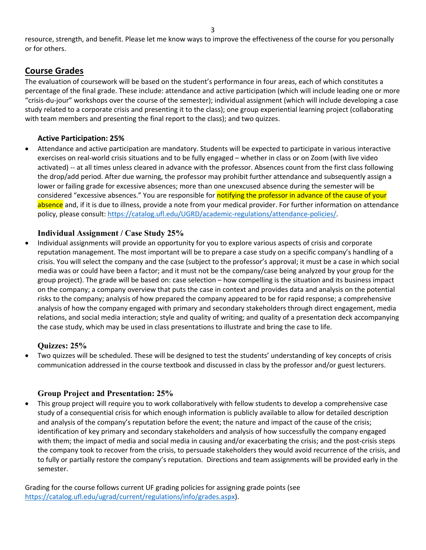resource, strength, and benefit. Please let me know ways to improve the effectiveness of the course for you personally or for others.

### **Course Grades**

The evaluation of coursework will be based on the student's performance in four areas, each of which constitutes a percentage of the final grade. These include: attendance and active participation (which will include leading one or more "crisis-du-jour" workshops over the course of the semester); individual assignment (which will include developing a case study related to a corporate crisis and presenting it to the class); one group experiential learning project (collaborating with team members and presenting the final report to the class); and two quizzes.

### **Active Participation: 25%**

• Attendance and active participation are mandatory. Students will be expected to participate in various interactive exercises on real-world crisis situations and to be fully engaged – whether in class or on Zoom (with live video activated) -- at all times unless cleared in advance with the professor. Absences count from the first class following the drop/add period. After due warning, the professor may prohibit further attendance and subsequently assign a lower or failing grade for excessive absences; more than one unexcused absence during the semester will be considered "excessive absences." You are responsible for notifying the professor in advance of the cause of your absence and, if it is due to illness, provide a note from your medical provider. For further information on attendance policy, please consult: https://catalog.ufl.edu/UGRD/academic-regulations/attendance-policies/.

### **Individual Assignment / Case Study 25%**

• Individual assignments will provide an opportunity for you to explore various aspects of crisis and corporate reputation management. The most important will be to prepare a case study on a specific company's handling of a crisis. You will select the company and the case (subject to the professor's approval; it must be a case in which social media was or could have been a factor; and it must not be the company/case being analyzed by your group for the group project). The grade will be based on: case selection – how compelling is the situation and its business impact on the company; a company overview that puts the case in context and provides data and analysis on the potential risks to the company; analysis of how prepared the company appeared to be for rapid response; a comprehensive analysis of how the company engaged with primary and secondary stakeholders through direct engagement, media relations, and social media interaction; style and quality of writing; and quality of a presentation deck accompanying the case study, which may be used in class presentations to illustrate and bring the case to life.

### **Quizzes: 25%**

• Two quizzes will be scheduled. These will be designed to test the students' understanding of key concepts of crisis communication addressed in the course textbook and discussed in class by the professor and/or guest lecturers.

# **Group Project and Presentation: 25%**

• This group project will require you to work collaboratively with fellow students to develop a comprehensive case study of a consequential crisis for which enough information is publicly available to allow for detailed description and analysis of the company's reputation before the event; the nature and impact of the cause of the crisis; identification of key primary and secondary stakeholders and analysis of how successfully the company engaged with them; the impact of media and social media in causing and/or exacerbating the crisis; and the post-crisis steps the company took to recover from the crisis, to persuade stakeholders they would avoid recurrence of the crisis, and to fully or partially restore the company's reputation. Directions and team assignments will be provided early in the semester.

Grading for the course follows current UF grading policies for assigning grade points (see https://catalog.ufl.edu/ugrad/current/regulations/info/grades.aspx).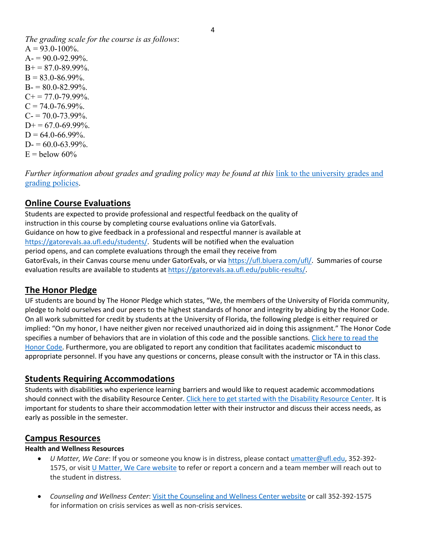*The grading scale for the course is as follows*:  $A = 93.0 - 100\%$ .  $A = 90.0 - 92.99\%$ .  $B_0 + 87.0 - 89.99\%$ .  $B = 83.0 - 86.99\%$ .  $B = 80.0 - 82.99\%$ .  $C_{\pm} = 77.0 - 79.99\%$ .  $C = 74.0 - 76.99\%$ .  $C = 70.0 - 73.99\%$ .  $D+= 67.0 - 69.99\%$ .  $D = 64.0 - 66.99\%$ .  $D = 60.0 - 63.99\%$ .  $E =$ helow 60%

*Further information about grades and grading policy may be found at this* link to the university grades and grading policies.

# **Online Course Evaluations**

Students are expected to provide professional and respectful feedback on the quality of instruction in this course by completing course evaluations online via GatorEvals. Guidance on how to give feedback in a professional and respectful manner is available at https://gatorevals.aa.ufl.edu/students/. Students will be notified when the evaluation period opens, and can complete evaluations through the email they receive from GatorEvals, in their Canvas course menu under GatorEvals, or via https://ufl.bluera.com/ufl/. Summaries of course evaluation results are available to students at https://gatorevals.aa.ufl.edu/public-results/.

# **The Honor Pledge**

UF students are bound by The Honor Pledge which states, "We, the members of the University of Florida community, pledge to hold ourselves and our peers to the highest standards of honor and integrity by abiding by the Honor Code. On all work submitted for credit by students at the University of Florida, the following pledge is either required or implied: "On my honor, I have neither given nor received unauthorized aid in doing this assignment." The Honor Code specifies a number of behaviors that are in violation of this code and the possible sanctions. Click here to read the Honor Code. Furthermore, you are obligated to report any condition that facilitates academic misconduct to appropriate personnel. If you have any questions or concerns, please consult with the instructor or TA in this class.

### **Students Requiring Accommodations**

Students with disabilities who experience learning barriers and would like to request academic accommodations should connect with the disability Resource Center. Click here to get started with the Disability Resource Center. It is important for students to share their accommodation letter with their instructor and discuss their access needs, as early as possible in the semester.

### **Campus Resources**

### **Health and Wellness Resources**

- *U Matter, We Care*: If you or someone you know is in distress, please contact umatter@ufl.edu, 352-392- 1575, or visit U Matter, We Care website to refer or report a concern and a team member will reach out to the student in distress.
- *Counseling and Wellness Center*: Visit the Counseling and Wellness Center website or call 352-392-1575 for information on crisis services as well as non-crisis services.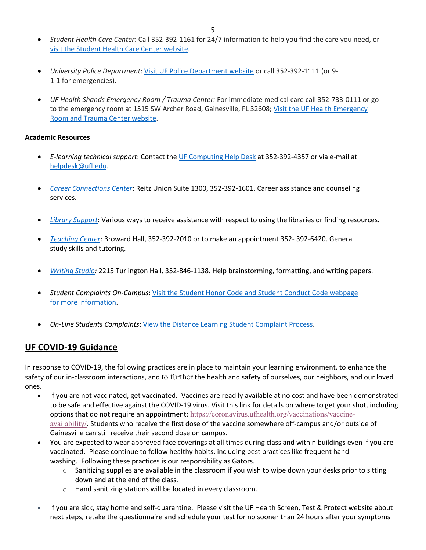- *Student Health Care Center*: Call 352-392-1161 for 24/7 information to help you find the care you need, or visit the Student Health Care Center website.
- *University Police Department*: Visit UF Police Department website or call 352-392-1111 (or 9- 1-1 for emergencies).
- *UF Health Shands Emergency Room / Trauma Center:* For immediate medical care call 352-733-0111 or go to the emergency room at 1515 SW Archer Road, Gainesville, FL 32608; Visit the UF Health Emergency Room and Trauma Center website.

#### **Academic Resources**

- *E-learning technical support*: Contact the UF Computing Help Desk at 352-392-4357 or via e-mail at helpdesk@ufl.edu.
- *Career Connections Center*: Reitz Union Suite 1300, 352-392-1601. Career assistance and counseling services.
- *Library Support*: Various ways to receive assistance with respect to using the libraries or finding resources.
- *Teaching Center*: Broward Hall, 352-392-2010 or to make an appointment 352- 392-6420. General study skills and tutoring.
- *Writing Studio:* 2215 Turlington Hall*,* 352-846-1138. Help brainstorming, formatting, and writing papers.
- *Student Complaints On-Campus*: Visit the Student Honor Code and Student Conduct Code webpage for more information.
- *On-Line Students Complaints*: View the Distance Learning Student Complaint Process.

# **UF COVID-19 Guidance**

In response to COVID-19, the following practices are in place to maintain your learning environment, to enhance the safety of our in-classroom interactions, and to further the health and safety of ourselves, our neighbors, and our loved ones.

- If you are not vaccinated, get vaccinated. Vaccines are readily available at no cost and have been demonstrated to be safe and effective against the COVID-19 virus. Visit this link for details on where to get your shot, including options that do not require an appointment: https://coronavirus.ufhealth.org/vaccinations/vaccineavailability/. Students who receive the first dose of the vaccine somewhere off-campus and/or outside of Gainesville can still receive their second dose on campus.
- You are expected to wear approved face coverings at all times during class and within buildings even if you are vaccinated. Please continue to follow healthy habits, including best practices like frequent hand washing. Following these practices is our responsibility as Gators.
	- $\circ$  Sanitizing supplies are available in the classroom if you wish to wipe down your desks prior to sitting down and at the end of the class.
	- o Hand sanitizing stations will be located in every classroom.
- If you are sick, stay home and self-quarantine. Please visit the UF Health Screen, Test & Protect website about next steps, retake the questionnaire and schedule your test for no sooner than 24 hours after your symptoms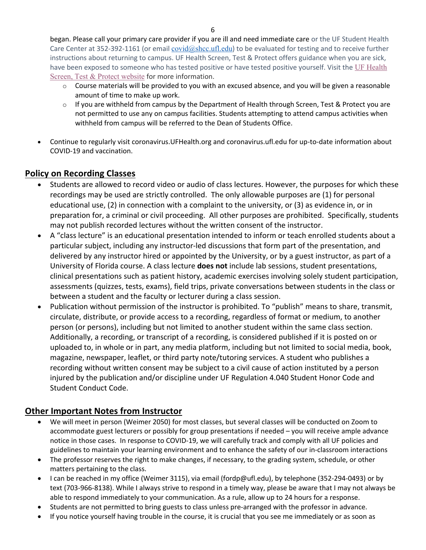began. Please call your primary care provider if you are ill and need immediate care or the UF Student Health Care Center at 352-392-1161 (or email  $covid@shcc.ufl.edu)$  to be evaluated for testing and to receive further instructions about returning to campus. UF Health Screen, Test & Protect offers guidance when you are sick, have been exposed to someone who has tested positive or have tested positive yourself. Visit the UF Health Screen, Test & Protect website for more information.

- o Course materials will be provided to you with an excused absence, and you will be given a reasonable amount of time to make up work.
- $\circ$  If you are withheld from campus by the Department of Health through Screen, Test & Protect you are not permitted to use any on campus facilities. Students attempting to attend campus activities when withheld from campus will be referred to the Dean of Students Office.
- Continue to regularly visit coronavirus.UFHealth.org and coronavirus.ufl.edu for up-to-date information about COVID-19 and vaccination.

# **Policy on Recording Classes**

- Students are allowed to record video or audio of class lectures. However, the purposes for which these recordings may be used are strictly controlled. The only allowable purposes are (1) for personal educational use, (2) in connection with a complaint to the university, or (3) as evidence in, or in preparation for, a criminal or civil proceeding. All other purposes are prohibited. Specifically, students may not publish recorded lectures without the written consent of the instructor.
- A "class lecture" is an educational presentation intended to inform or teach enrolled students about a particular subject, including any instructor-led discussions that form part of the presentation, and delivered by any instructor hired or appointed by the University, or by a guest instructor, as part of a University of Florida course. A class lecture **does not** include lab sessions, student presentations, clinical presentations such as patient history, academic exercises involving solely student participation, assessments (quizzes, tests, exams), field trips, private conversations between students in the class or between a student and the faculty or lecturer during a class session.
- Publication without permission of the instructor is prohibited. To "publish" means to share, transmit, circulate, distribute, or provide access to a recording, regardless of format or medium, to another person (or persons), including but not limited to another student within the same class section. Additionally, a recording, or transcript of a recording, is considered published if it is posted on or uploaded to, in whole or in part, any media platform, including but not limited to social media, book, magazine, newspaper, leaflet, or third party note/tutoring services. A student who publishes a recording without written consent may be subject to a civil cause of action instituted by a person injured by the publication and/or discipline under UF Regulation 4.040 Student Honor Code and Student Conduct Code.

# **Other Important Notes from Instructor**

- We will meet in person (Weimer 2050) for most classes, but several classes will be conducted on Zoom to accommodate guest lecturers or possibly for group presentations if needed – you will receive ample advance notice in those cases. In response to COVID-19, we will carefully track and comply with all UF policies and guidelines to maintain your learning environment and to enhance the safety of our in-classroom interactions
- The professor reserves the right to make changes, if necessary, to the grading system, schedule, or other matters pertaining to the class.
- I can be reached in my office (Weimer 3115), via email (fordp@ufl.edu), by telephone (352-294-0493) or by text (703-966-8138). While I always strive to respond in a timely way, please be aware that I may not always be able to respond immediately to your communication. As a rule, allow up to 24 hours for a response.
- Students are not permitted to bring guests to class unless pre-arranged with the professor in advance.
- If you notice yourself having trouble in the course, it is crucial that you see me immediately or as soon as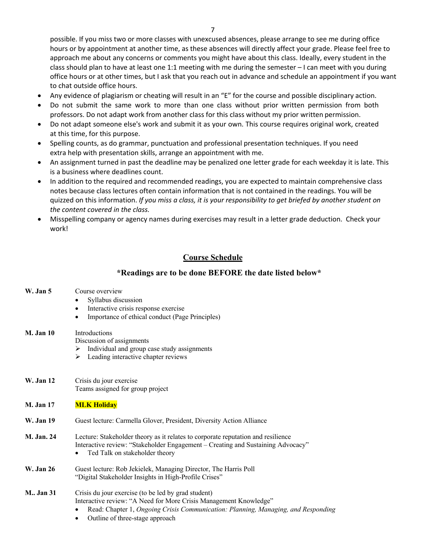possible. If you miss two or more classes with unexcused absences, please arrange to see me during office hours or by appointment at another time, as these absences will directly affect your grade. Please feel free to approach me about any concerns or comments you might have about this class. Ideally, every student in the class should plan to have at least one 1:1 meeting with me during the semester – I can meet with you during office hours or at other times, but I ask that you reach out in advance and schedule an appointment if you want to chat outside office hours.

- Any evidence of plagiarism or cheating will result in an "E" for the course and possible disciplinary action.
- Do not submit the same work to more than one class without prior written permission from both professors. Do not adapt work from another class for this class without my prior written permission.
- Do not adapt someone else's work and submit it as your own. This course requires original work, created at this time, for this purpose.
- Spelling counts, as do grammar, punctuation and professional presentation techniques. If you need extra help with presentation skills, arrange an appointment with me.
- An assignment turned in past the deadline may be penalized one letter grade for each weekday it is late. This is a business where deadlines count.
- In addition to the required and recommended readings, you are expected to maintain comprehensive class notes because class lectures often contain information that is not contained in the readings. You will be quizzed on this information. *If you miss a class, it is your responsibility to get briefed by another student on the content covered in the class.*
- Misspelling company or agency names during exercises may result in a letter grade deduction. Check your work!

### **Course Schedule**

### **\*Readings are to be done BEFORE the date listed below\***

| W. Jan 5           | Course overview<br>Syllabus discussion<br>Interactive crisis response exercise<br>Importance of ethical conduct (Page Principles)                                                                                                                     |
|--------------------|-------------------------------------------------------------------------------------------------------------------------------------------------------------------------------------------------------------------------------------------------------|
| <b>M.</b> Jan 10   | <b>Introductions</b><br>Discussion of assignments<br>Individual and group case study assignments<br>≻<br>$\triangleright$ Leading interactive chapter reviews                                                                                         |
| <b>W.</b> Jan 12   | Crisis du jour exercise<br>Teams assigned for group project                                                                                                                                                                                           |
| <b>M. Jan 17</b>   | <b>MLK Holiday</b>                                                                                                                                                                                                                                    |
| <b>W.</b> Jan 19   | Guest lecture: Carmella Glover, President, Diversity Action Alliance                                                                                                                                                                                  |
| <b>M. Jan. 24</b>  | Lecture: Stakeholder theory as it relates to corporate reputation and resilience<br>Interactive review: "Stakeholder Engagement - Creating and Sustaining Advocacy"<br>Ted Talk on stakeholder theory                                                 |
| <b>W.</b> Jan 26   | Guest lecture: Rob Jekielek, Managing Director, The Harris Poll<br>"Digital Stakeholder Insights in High-Profile Crises"                                                                                                                              |
| <b>M.</b> , Jan 31 | Crisis du jour exercise (to be led by grad student)<br>Interactive review: "A Need for More Crisis Management Knowledge"<br>Read: Chapter 1, Ongoing Crisis Communication: Planning, Managing, and Responding<br>Outline of three-stage approach<br>٠ |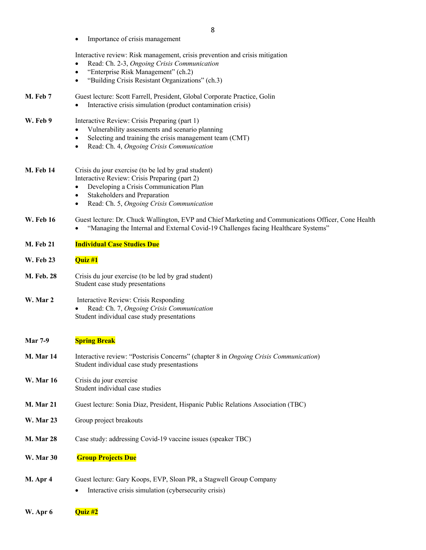• Importance of crisis management

Interactive review: Risk management, crisis prevention and crisis mitigation

- Read: Ch. 2-3, *Ongoing Crisis Communication*
- "Enterprise Risk Management" (ch.2)
- "Building Crisis Resistant Organizations" (ch.3)

| <b>M. Feb 7</b> | Guest lecture: Scott Farrell, President, Global Corporate Practice, Golin<br>Interactive crisis simulation (product contamination crisis)<br>$\bullet$ |
|-----------------|--------------------------------------------------------------------------------------------------------------------------------------------------------|
| W. Feb 9        | Interactive Review: Crisis Preparing (part 1)<br>Vulnerability assessments and scenario planning<br>$\bullet$                                          |
|                 | Selecting and training the crisis management team (CMT)<br>$\bullet$                                                                                   |
|                 | Read: Ch. 4, Ongoing Crisis Communication<br>$\bullet$                                                                                                 |

| M. Feb 14 | Crisis du jour exercise (to be led by grad student) |
|-----------|-----------------------------------------------------|
|           | Interactive Review: Crisis Preparing (part 2)       |

- Developing a Crisis Communication Plan
- Stakeholders and Preparation
- Read: Ch. 5, *Ongoing Crisis Communication*

#### **W. Feb 16** Guest lecture: Dr. Chuck Wallington, EVP and Chief Marketing and Communications Officer, Cone Health • "Managing the Internal and External Covid-19 Challenges facing Healthcare Systems"

- **M. Feb 21 Individual Case Studies Due**
- **W. Feb 23 Quiz #1**
- **M. Feb. 28** Crisis du jour exercise (to be led by grad student) Student case study presentations

#### **W. Mar 2** Interactive Review: Crisis Responding • Read: Ch. 7, *Ongoing Crisis Communication* Student individual case study presentations

#### **Mar 7-9 Spring Break**

- **M. Mar 14** Interactive review: "Postcrisis Concerns" (chapter 8 in *Ongoing Crisis Communication*) Student individual case study presentastions
- **W. Mar 16** Crisis du jour exercise Student individual case studies
- **M. Mar 21** Guest lecture: Sonia Diaz, President, Hispanic Public Relations Association (TBC)
- W. Mar 23 Group project breakouts
- **M. Mar 28** Case study: addressing Covid-19 vaccine issues (speaker TBC)
- **W. Mar 30 Group Projects Due**
- **M. Apr 4** Guest lecture: Gary Koops, EVP, Sloan PR, a Stagwell Group Company
	- Interactive crisis simulation (cybersecurity crisis)
- **W. Apr 6 Quiz #2**